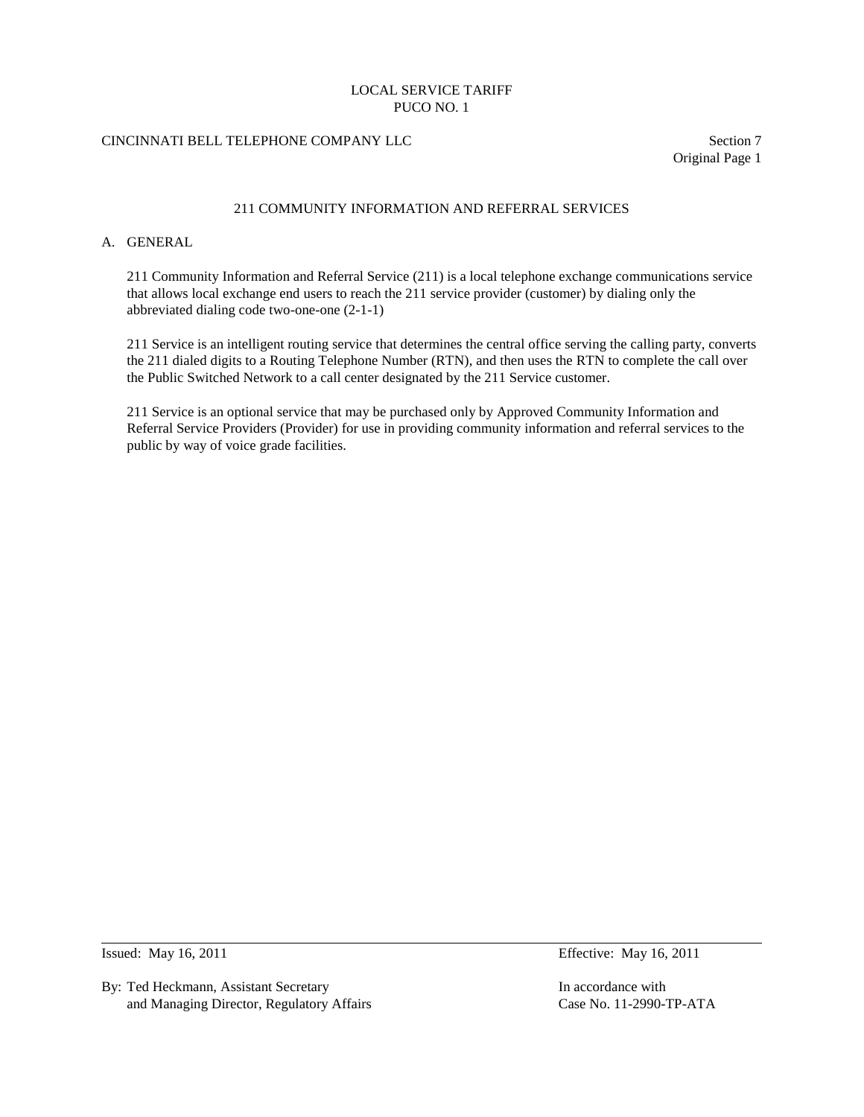# CINCINNATI BELL TELEPHONE COMPANY LLC Section 7

Original Page 1

## 211 COMMUNITY INFORMATION AND REFERRAL SERVICES

### A. GENERAL

211 Community Information and Referral Service (211) is a local telephone exchange communications service that allows local exchange end users to reach the 211 service provider (customer) by dialing only the abbreviated dialing code two-one-one (2-1-1)

211 Service is an intelligent routing service that determines the central office serving the calling party, converts the 211 dialed digits to a Routing Telephone Number (RTN), and then uses the RTN to complete the call over the Public Switched Network to a call center designated by the 211 Service customer.

211 Service is an optional service that may be purchased only by Approved Community Information and Referral Service Providers (Provider) for use in providing community information and referral services to the public by way of voice grade facilities.

By: Ted Heckmann, Assistant Secretary **In accordance with** In accordance with and Managing Director, Regulatory Affairs Case No. 11-2990-TP-ATA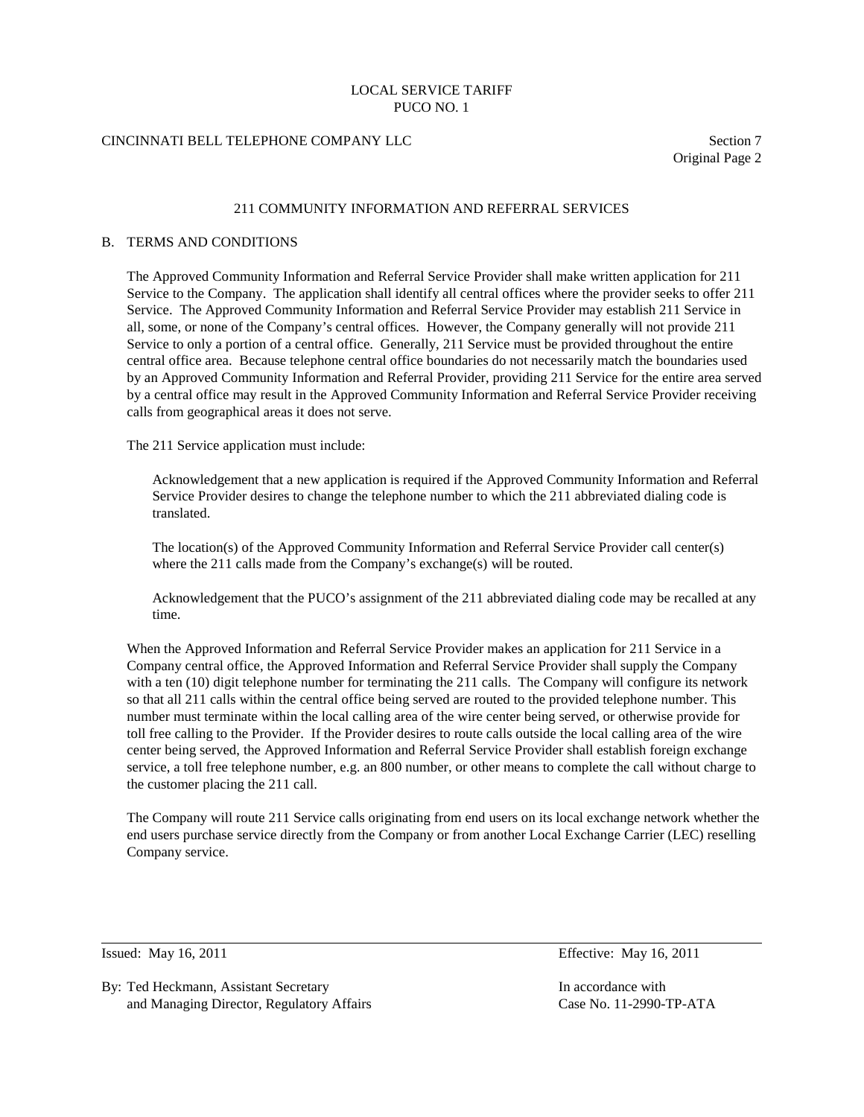### CINCINNATI BELL TELEPHONE COMPANY LLC Section 7

Original Page 2

### 211 COMMUNITY INFORMATION AND REFERRAL SERVICES

### B. TERMS AND CONDITIONS

The Approved Community Information and Referral Service Provider shall make written application for 211 Service to the Company. The application shall identify all central offices where the provider seeks to offer 211 Service. The Approved Community Information and Referral Service Provider may establish 211 Service in all, some, or none of the Company's central offices. However, the Company generally will not provide 211 Service to only a portion of a central office. Generally, 211 Service must be provided throughout the entire central office area. Because telephone central office boundaries do not necessarily match the boundaries used by an Approved Community Information and Referral Provider, providing 211 Service for the entire area served by a central office may result in the Approved Community Information and Referral Service Provider receiving calls from geographical areas it does not serve.

The 211 Service application must include:

Acknowledgement that a new application is required if the Approved Community Information and Referral Service Provider desires to change the telephone number to which the 211 abbreviated dialing code is translated.

The location(s) of the Approved Community Information and Referral Service Provider call center(s) where the 211 calls made from the Company's exchange(s) will be routed.

Acknowledgement that the PUCO's assignment of the 211 abbreviated dialing code may be recalled at any time.

When the Approved Information and Referral Service Provider makes an application for 211 Service in a Company central office, the Approved Information and Referral Service Provider shall supply the Company with a ten (10) digit telephone number for terminating the 211 calls. The Company will configure its network so that all 211 calls within the central office being served are routed to the provided telephone number. This number must terminate within the local calling area of the wire center being served, or otherwise provide for toll free calling to the Provider. If the Provider desires to route calls outside the local calling area of the wire center being served, the Approved Information and Referral Service Provider shall establish foreign exchange service, a toll free telephone number, e.g. an 800 number, or other means to complete the call without charge to the customer placing the 211 call.

The Company will route 211 Service calls originating from end users on its local exchange network whether the end users purchase service directly from the Company or from another Local Exchange Carrier (LEC) reselling Company service.

By: Ted Heckmann, Assistant Secretary **In accordance with** In accordance with and Managing Director, Regulatory Affairs Case No. 11-2990-TP-ATA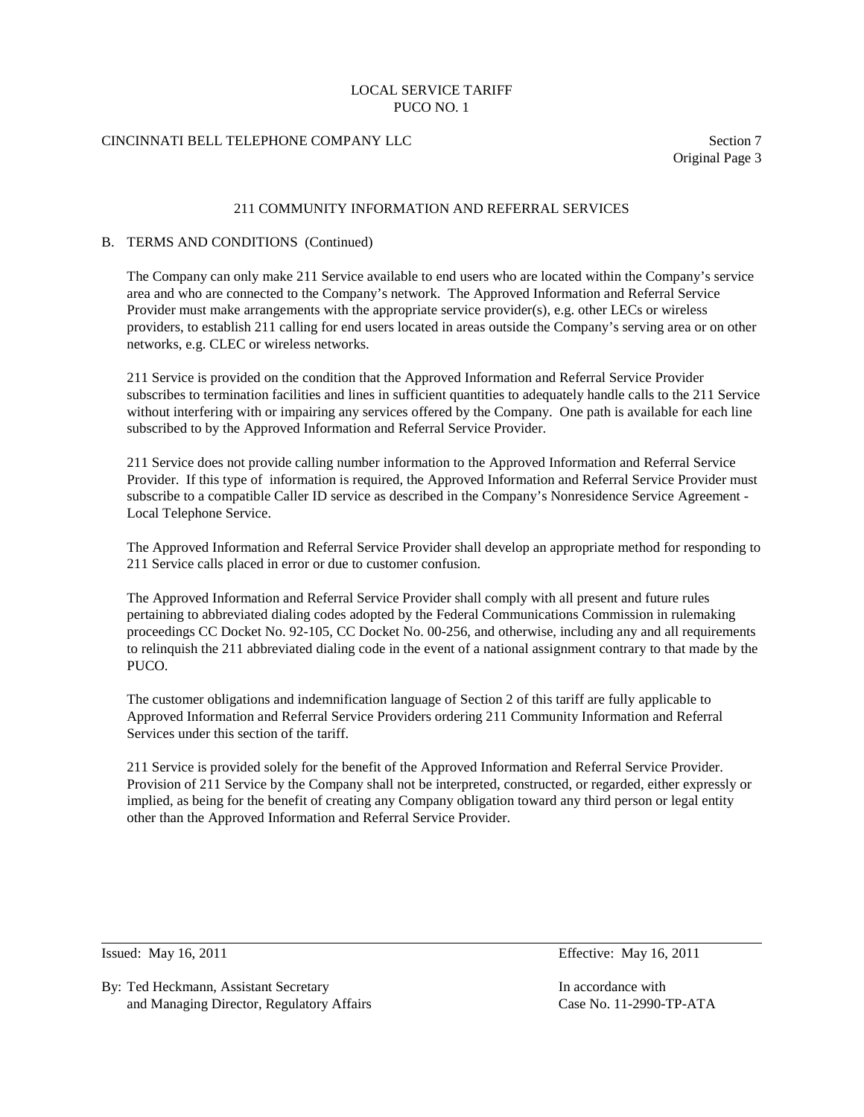# CINCINNATI BELL TELEPHONE COMPANY LLC Section 7

Original Page 3

### 211 COMMUNITY INFORMATION AND REFERRAL SERVICES

### B. TERMS AND CONDITIONS (Continued)

The Company can only make 211 Service available to end users who are located within the Company's service area and who are connected to the Company's network. The Approved Information and Referral Service Provider must make arrangements with the appropriate service provider(s), e.g. other LECs or wireless providers, to establish 211 calling for end users located in areas outside the Company's serving area or on other networks, e.g. CLEC or wireless networks.

211 Service is provided on the condition that the Approved Information and Referral Service Provider subscribes to termination facilities and lines in sufficient quantities to adequately handle calls to the 211 Service without interfering with or impairing any services offered by the Company. One path is available for each line subscribed to by the Approved Information and Referral Service Provider.

211 Service does not provide calling number information to the Approved Information and Referral Service Provider. If this type of information is required, the Approved Information and Referral Service Provider must subscribe to a compatible Caller ID service as described in the Company's Nonresidence Service Agreement - Local Telephone Service.

The Approved Information and Referral Service Provider shall develop an appropriate method for responding to 211 Service calls placed in error or due to customer confusion.

The Approved Information and Referral Service Provider shall comply with all present and future rules pertaining to abbreviated dialing codes adopted by the Federal Communications Commission in rulemaking proceedings CC Docket No. 92-105, CC Docket No. 00-256, and otherwise, including any and all requirements to relinquish the 211 abbreviated dialing code in the event of a national assignment contrary to that made by the PUCO.

The customer obligations and indemnification language of Section 2 of this tariff are fully applicable to Approved Information and Referral Service Providers ordering 211 Community Information and Referral Services under this section of the tariff.

211 Service is provided solely for the benefit of the Approved Information and Referral Service Provider. Provision of 211 Service by the Company shall not be interpreted, constructed, or regarded, either expressly or implied, as being for the benefit of creating any Company obligation toward any third person or legal entity other than the Approved Information and Referral Service Provider.

Issued: May 16, 2011 Effective: May 16, 2011

By: Ted Heckmann, Assistant Secretary In accordance with In accordance with and Managing Director, Regulatory Affairs Case No. 11-2990-TP-ATA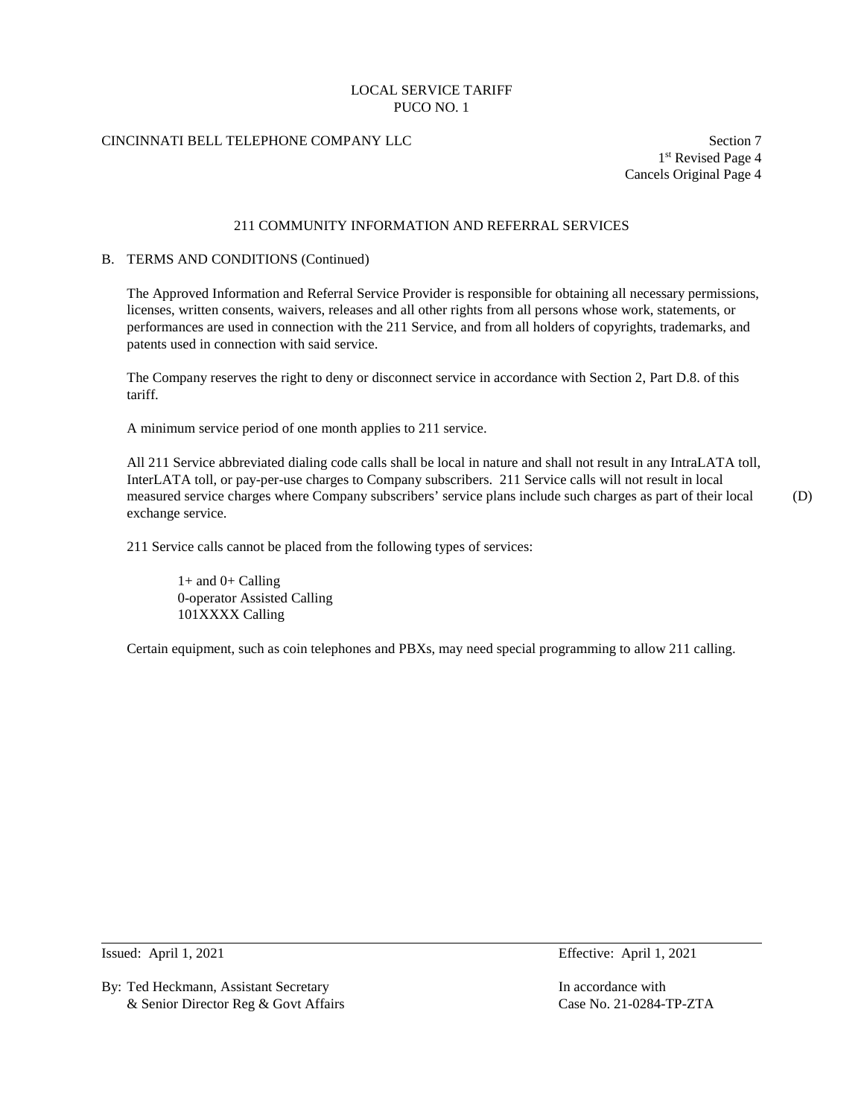# CINCINNATI BELL TELEPHONE COMPANY LLC Section 7

1st Revised Page 4 Cancels Original Page 4

# 211 COMMUNITY INFORMATION AND REFERRAL SERVICES

#### B. TERMS AND CONDITIONS (Continued)

The Approved Information and Referral Service Provider is responsible for obtaining all necessary permissions, licenses, written consents, waivers, releases and all other rights from all persons whose work, statements, or performances are used in connection with the 211 Service, and from all holders of copyrights, trademarks, and patents used in connection with said service.

The Company reserves the right to deny or disconnect service in accordance with Section 2, Part D.8. of this tariff.

A minimum service period of one month applies to 211 service.

All 211 Service abbreviated dialing code calls shall be local in nature and shall not result in any IntraLATA toll, InterLATA toll, or pay-per-use charges to Company subscribers. 211 Service calls will not result in local measured service charges where Company subscribers' service plans include such charges as part of their local (D) exchange service.

211 Service calls cannot be placed from the following types of services:

 $1+$  and  $0+$  Calling 0-operator Assisted Calling 101XXXX Calling

Certain equipment, such as coin telephones and PBXs, may need special programming to allow 211 calling.

By: Ted Heckmann, Assistant Secretary **In accordance with** In accordance with & Senior Director Reg & Govt Affairs Case No. 21-0284-TP-ZTA

Issued: April 1, 2021 Effective: April 1, 2021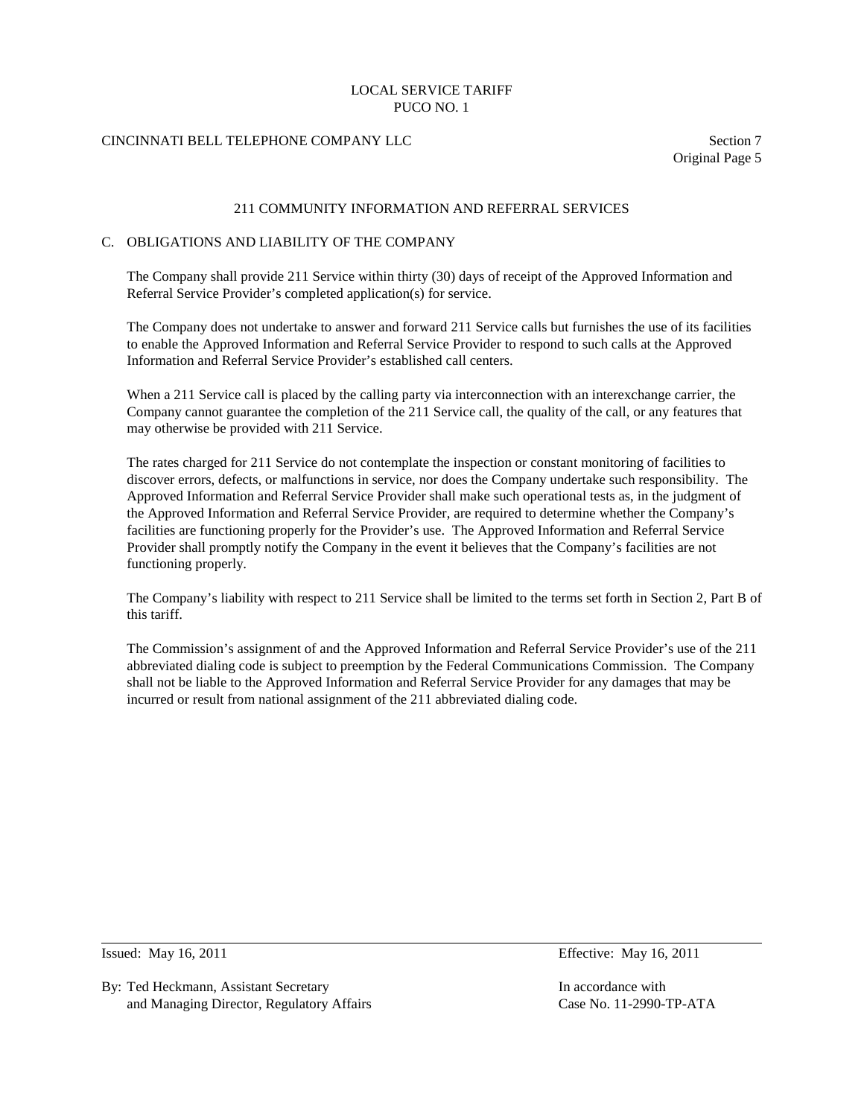# CINCINNATI BELL TELEPHONE COMPANY LLC Section 7

Original Page 5

### 211 COMMUNITY INFORMATION AND REFERRAL SERVICES

### C. OBLIGATIONS AND LIABILITY OF THE COMPANY

The Company shall provide 211 Service within thirty (30) days of receipt of the Approved Information and Referral Service Provider's completed application(s) for service.

The Company does not undertake to answer and forward 211 Service calls but furnishes the use of its facilities to enable the Approved Information and Referral Service Provider to respond to such calls at the Approved Information and Referral Service Provider's established call centers.

When a 211 Service call is placed by the calling party via interconnection with an interexchange carrier, the Company cannot guarantee the completion of the 211 Service call, the quality of the call, or any features that may otherwise be provided with 211 Service.

The rates charged for 211 Service do not contemplate the inspection or constant monitoring of facilities to discover errors, defects, or malfunctions in service, nor does the Company undertake such responsibility. The Approved Information and Referral Service Provider shall make such operational tests as, in the judgment of the Approved Information and Referral Service Provider, are required to determine whether the Company's facilities are functioning properly for the Provider's use. The Approved Information and Referral Service Provider shall promptly notify the Company in the event it believes that the Company's facilities are not functioning properly.

The Company's liability with respect to 211 Service shall be limited to the terms set forth in Section 2, Part B of this tariff.

The Commission's assignment of and the Approved Information and Referral Service Provider's use of the 211 abbreviated dialing code is subject to preemption by the Federal Communications Commission. The Company shall not be liable to the Approved Information and Referral Service Provider for any damages that may be incurred or result from national assignment of the 211 abbreviated dialing code.

By: Ted Heckmann, Assistant Secretary In accordance with In accordance with and Managing Director, Regulatory Affairs Case No. 11-2990-TP-ATA